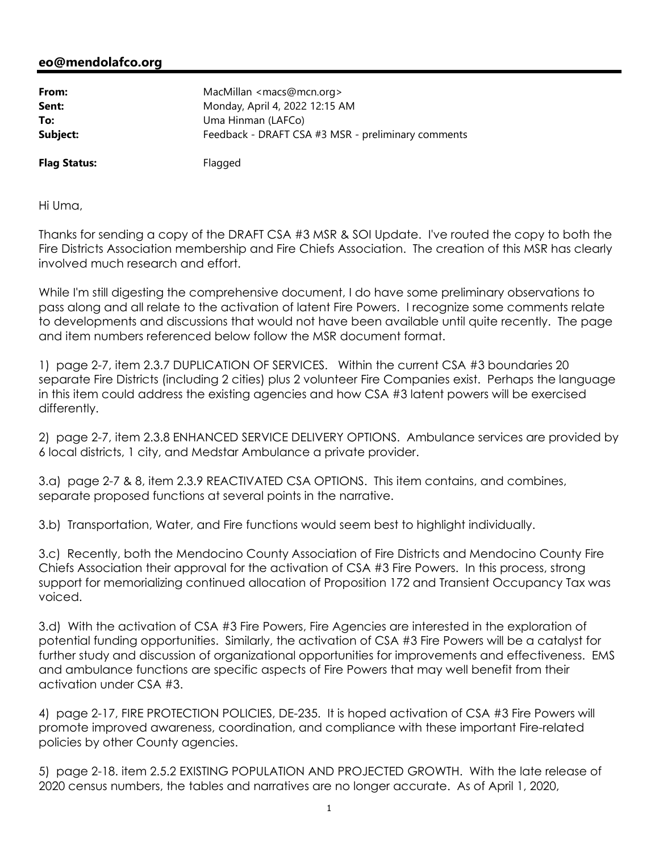## **eo@mendolafco.org**

| From:    | MacMillan $\leq$ macs@mcn.org $>$                  |
|----------|----------------------------------------------------|
| Sent:    | Monday, April 4, 2022 12:15 AM                     |
| To:      | Uma Hinman (LAFCo)                                 |
| Subject: | Feedback - DRAFT CSA #3 MSR - preliminary comments |
|          |                                                    |

**Flag Status:** Flagged

Hi Uma,

Thanks for sending a copy of the DRAFT CSA #3 MSR & SOI Update. I've routed the copy to both the Fire Districts Association membership and Fire Chiefs Association. The creation of this MSR has clearly involved much research and effort.

While I'm still digesting the comprehensive document, I do have some preliminary observations to pass along and all relate to the activation of latent Fire Powers. I recognize some comments relate to developments and discussions that would not have been available until quite recently. The page and item numbers referenced below follow the MSR document format.

1) page 2-7, item 2.3.7 DUPLICATION OF SERVICES. Within the current CSA #3 boundaries 20 separate Fire Districts (including 2 cities) plus 2 volunteer Fire Companies exist. Perhaps the language in this item could address the existing agencies and how CSA #3 latent powers will be exercised differently.

2) page 2-7, item 2.3.8 ENHANCED SERVICE DELIVERY OPTIONS. Ambulance services are provided by 6 local districts, 1 city, and Medstar Ambulance a private provider.

3.a) page 2-7 & 8, item 2.3.9 REACTIVATED CSA OPTIONS. This item contains, and combines, separate proposed functions at several points in the narrative.

3.b) Transportation, Water, and Fire functions would seem best to highlight individually.

3.c) Recently, both the Mendocino County Association of Fire Districts and Mendocino County Fire Chiefs Association their approval for the activation of CSA #3 Fire Powers. In this process, strong support for memorializing continued allocation of Proposition 172 and Transient Occupancy Tax was voiced.

3.d) With the activation of CSA #3 Fire Powers, Fire Agencies are interested in the exploration of potential funding opportunities. Similarly, the activation of CSA #3 Fire Powers will be a catalyst for further study and discussion of organizational opportunities for improvements and effectiveness. EMS and ambulance functions are specific aspects of Fire Powers that may well benefit from their activation under CSA #3.

4) page 2-17, FIRE PROTECTION POLICIES, DE-235. It is hoped activation of CSA #3 Fire Powers will promote improved awareness, coordination, and compliance with these important Fire-related policies by other County agencies.

5) page 2-18. item 2.5.2 EXISTING POPULATION AND PROJECTED GROWTH. With the late release of 2020 census numbers, the tables and narratives are no longer accurate. As of April 1, 2020,